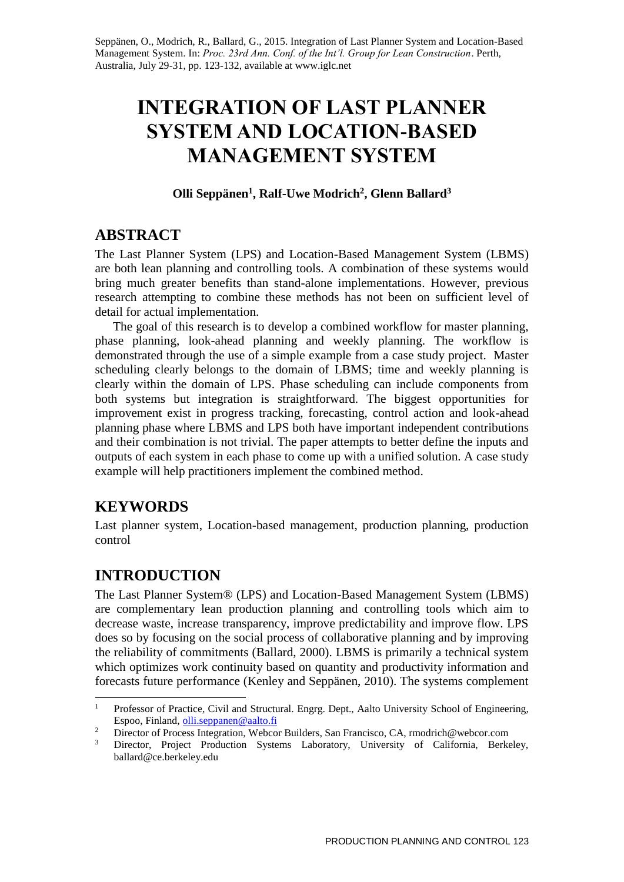Seppänen, O., Modrich, R., Ballard, G., 2015. Integration of Last Planner System and Location-Based Management System. In: *Proc. 23rd Ann. Conf. of the Int'l. Group for Lean Construction*. Perth, Australia, July 29-31, pp. 123-132, available at www.iglc.net

# **INTEGRATION OF LAST PLANNER SYSTEM AND LOCATION-BASED MANAGEMENT SYSTEM**

#### **Olli Seppänen<sup>1</sup> , Ralf-Uwe Modrich<sup>2</sup> , Glenn Ballard<sup>3</sup>**

## **ABSTRACT**

The Last Planner System (LPS) and Location-Based Management System (LBMS) are both lean planning and controlling tools. A combination of these systems would bring much greater benefits than stand-alone implementations. However, previous research attempting to combine these methods has not been on sufficient level of detail for actual implementation.

The goal of this research is to develop a combined workflow for master planning, phase planning, look-ahead planning and weekly planning. The workflow is demonstrated through the use of a simple example from a case study project. Master scheduling clearly belongs to the domain of LBMS; time and weekly planning is clearly within the domain of LPS. Phase scheduling can include components from both systems but integration is straightforward. The biggest opportunities for improvement exist in progress tracking, forecasting, control action and look-ahead planning phase where LBMS and LPS both have important independent contributions and their combination is not trivial. The paper attempts to better define the inputs and outputs of each system in each phase to come up with a unified solution. A case study example will help practitioners implement the combined method.

# **KEYWORDS**

-

Last planner system, Location-based management, production planning, production control

# **INTRODUCTION**

The Last Planner System® (LPS) and Location-Based Management System (LBMS) are complementary lean production planning and controlling tools which aim to decrease waste, increase transparency, improve predictability and improve flow. LPS does so by focusing on the social process of collaborative planning and by improving the reliability of commitments (Ballard, 2000). LBMS is primarily a technical system which optimizes work continuity based on quantity and productivity information and forecasts future performance (Kenley and Seppänen, 2010). The systems complement

<sup>1</sup> Professor of Practice, Civil and Structural. Engrg. Dept., Aalto University School of Engineering, Espoo, Finland, [olli.seppanen@aalto.fi](mailto:olli.seppanen@aalto.fi)

<sup>&</sup>lt;sup>2</sup> Director of Process Integration, Webcor Builders, San Francisco, CA, rmodrich@webcor.com<br><sup>3</sup> Director - Production, Systems, Laboratory, University of California, Barks

<sup>3</sup> Director, Project Production Systems Laboratory, University of California, Berkeley, ballard@ce.berkeley.edu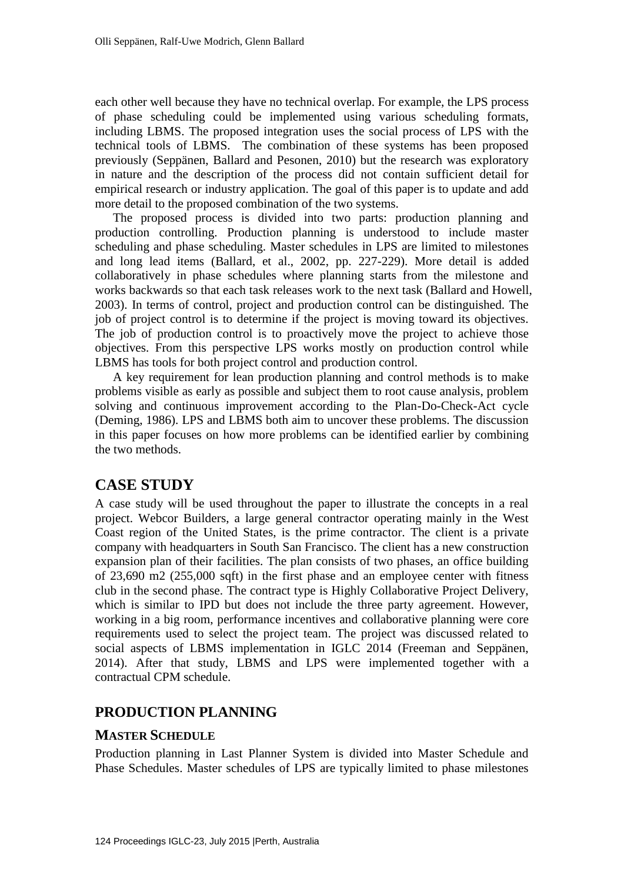each other well because they have no technical overlap. For example, the LPS process of phase scheduling could be implemented using various scheduling formats, including LBMS. The proposed integration uses the social process of LPS with the technical tools of LBMS. The combination of these systems has been proposed previously (Seppänen, Ballard and Pesonen, 2010) but the research was exploratory in nature and the description of the process did not contain sufficient detail for empirical research or industry application. The goal of this paper is to update and add more detail to the proposed combination of the two systems.

The proposed process is divided into two parts: production planning and production controlling. Production planning is understood to include master scheduling and phase scheduling. Master schedules in LPS are limited to milestones and long lead items (Ballard, et al., 2002, pp. 227-229). More detail is added collaboratively in phase schedules where planning starts from the milestone and works backwards so that each task releases work to the next task (Ballard and Howell, 2003). In terms of control, project and production control can be distinguished. The job of project control is to determine if the project is moving toward its objectives. The job of production control is to proactively move the project to achieve those objectives. From this perspective LPS works mostly on production control while LBMS has tools for both project control and production control.

A key requirement for lean production planning and control methods is to make problems visible as early as possible and subject them to root cause analysis, problem solving and continuous improvement according to the Plan-Do-Check-Act cycle (Deming, 1986). LPS and LBMS both aim to uncover these problems. The discussion in this paper focuses on how more problems can be identified earlier by combining the two methods.

# **CASE STUDY**

A case study will be used throughout the paper to illustrate the concepts in a real project. Webcor Builders, a large general contractor operating mainly in the West Coast region of the United States, is the prime contractor. The client is a private company with headquarters in South San Francisco. The client has a new construction expansion plan of their facilities. The plan consists of two phases, an office building of 23,690 m2 (255,000 sqft) in the first phase and an employee center with fitness club in the second phase. The contract type is Highly Collaborative Project Delivery, which is similar to IPD but does not include the three party agreement. However, working in a big room, performance incentives and collaborative planning were core requirements used to select the project team. The project was discussed related to social aspects of LBMS implementation in IGLC 2014 (Freeman and Seppänen, 2014). After that study, LBMS and LPS were implemented together with a contractual CPM schedule.

# **PRODUCTION PLANNING**

## **MASTER SCHEDULE**

Production planning in Last Planner System is divided into Master Schedule and Phase Schedules. Master schedules of LPS are typically limited to phase milestones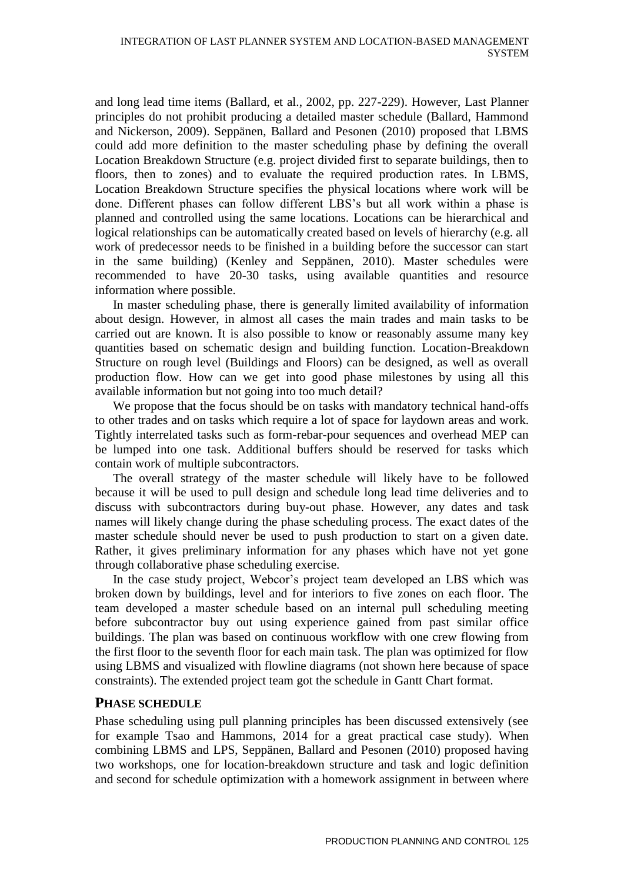and long lead time items (Ballard, et al., 2002, pp. 227-229). However, Last Planner principles do not prohibit producing a detailed master schedule (Ballard, Hammond and Nickerson, 2009). Seppänen, Ballard and Pesonen (2010) proposed that LBMS could add more definition to the master scheduling phase by defining the overall Location Breakdown Structure (e.g. project divided first to separate buildings, then to floors, then to zones) and to evaluate the required production rates. In LBMS, Location Breakdown Structure specifies the physical locations where work will be done. Different phases can follow different LBS's but all work within a phase is planned and controlled using the same locations. Locations can be hierarchical and logical relationships can be automatically created based on levels of hierarchy (e.g. all work of predecessor needs to be finished in a building before the successor can start in the same building) (Kenley and Seppänen, 2010). Master schedules were recommended to have 20-30 tasks, using available quantities and resource information where possible.

In master scheduling phase, there is generally limited availability of information about design. However, in almost all cases the main trades and main tasks to be carried out are known. It is also possible to know or reasonably assume many key quantities based on schematic design and building function. Location-Breakdown Structure on rough level (Buildings and Floors) can be designed, as well as overall production flow. How can we get into good phase milestones by using all this available information but not going into too much detail?

We propose that the focus should be on tasks with mandatory technical hand-offs to other trades and on tasks which require a lot of space for laydown areas and work. Tightly interrelated tasks such as form-rebar-pour sequences and overhead MEP can be lumped into one task. Additional buffers should be reserved for tasks which contain work of multiple subcontractors.

The overall strategy of the master schedule will likely have to be followed because it will be used to pull design and schedule long lead time deliveries and to discuss with subcontractors during buy-out phase. However, any dates and task names will likely change during the phase scheduling process. The exact dates of the master schedule should never be used to push production to start on a given date. Rather, it gives preliminary information for any phases which have not yet gone through collaborative phase scheduling exercise.

In the case study project, Webcor's project team developed an LBS which was broken down by buildings, level and for interiors to five zones on each floor. The team developed a master schedule based on an internal pull scheduling meeting before subcontractor buy out using experience gained from past similar office buildings. The plan was based on continuous workflow with one crew flowing from the first floor to the seventh floor for each main task. The plan was optimized for flow using LBMS and visualized with flowline diagrams (not shown here because of space constraints). The extended project team got the schedule in Gantt Chart format.

#### **PHASE SCHEDULE**

Phase scheduling using pull planning principles has been discussed extensively (see for example Tsao and Hammons, 2014 for a great practical case study). When combining LBMS and LPS, Seppänen, Ballard and Pesonen (2010) proposed having two workshops, one for location-breakdown structure and task and logic definition and second for schedule optimization with a homework assignment in between where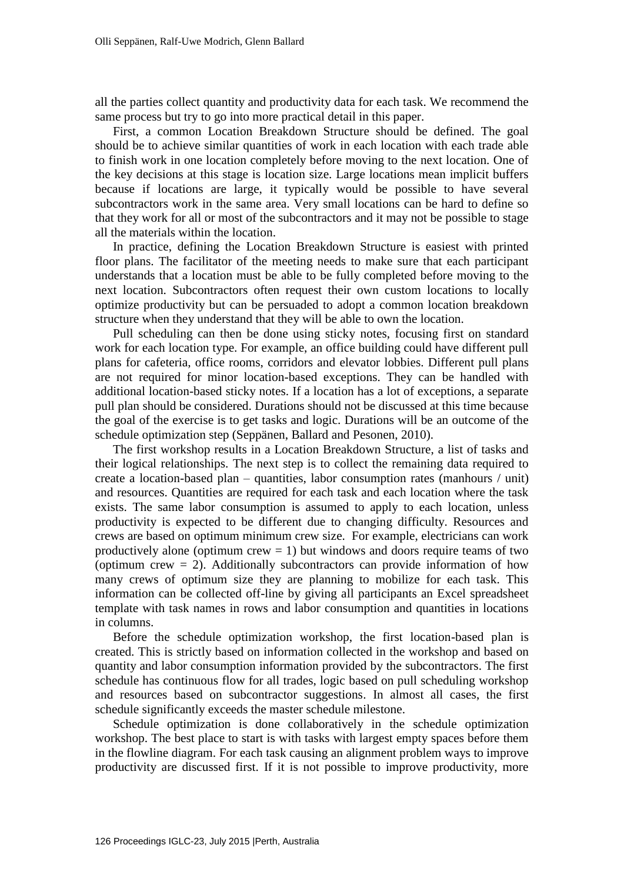all the parties collect quantity and productivity data for each task. We recommend the same process but try to go into more practical detail in this paper.

First, a common Location Breakdown Structure should be defined. The goal should be to achieve similar quantities of work in each location with each trade able to finish work in one location completely before moving to the next location. One of the key decisions at this stage is location size. Large locations mean implicit buffers because if locations are large, it typically would be possible to have several subcontractors work in the same area. Very small locations can be hard to define so that they work for all or most of the subcontractors and it may not be possible to stage all the materials within the location.

In practice, defining the Location Breakdown Structure is easiest with printed floor plans. The facilitator of the meeting needs to make sure that each participant understands that a location must be able to be fully completed before moving to the next location. Subcontractors often request their own custom locations to locally optimize productivity but can be persuaded to adopt a common location breakdown structure when they understand that they will be able to own the location.

Pull scheduling can then be done using sticky notes, focusing first on standard work for each location type. For example, an office building could have different pull plans for cafeteria, office rooms, corridors and elevator lobbies. Different pull plans are not required for minor location-based exceptions. They can be handled with additional location-based sticky notes. If a location has a lot of exceptions, a separate pull plan should be considered. Durations should not be discussed at this time because the goal of the exercise is to get tasks and logic. Durations will be an outcome of the schedule optimization step (Seppänen, Ballard and Pesonen, 2010).

The first workshop results in a Location Breakdown Structure, a list of tasks and their logical relationships. The next step is to collect the remaining data required to create a location-based plan – quantities, labor consumption rates (manhours / unit) and resources. Quantities are required for each task and each location where the task exists. The same labor consumption is assumed to apply to each location, unless productivity is expected to be different due to changing difficulty. Resources and crews are based on optimum minimum crew size. For example, electricians can work productively alone (optimum crew  $= 1$ ) but windows and doors require teams of two (optimum crew  $= 2$ ). Additionally subcontractors can provide information of how many crews of optimum size they are planning to mobilize for each task. This information can be collected off-line by giving all participants an Excel spreadsheet template with task names in rows and labor consumption and quantities in locations in columns.

Before the schedule optimization workshop, the first location-based plan is created. This is strictly based on information collected in the workshop and based on quantity and labor consumption information provided by the subcontractors. The first schedule has continuous flow for all trades, logic based on pull scheduling workshop and resources based on subcontractor suggestions. In almost all cases, the first schedule significantly exceeds the master schedule milestone.

Schedule optimization is done collaboratively in the schedule optimization workshop. The best place to start is with tasks with largest empty spaces before them in the flowline diagram. For each task causing an alignment problem ways to improve productivity are discussed first. If it is not possible to improve productivity, more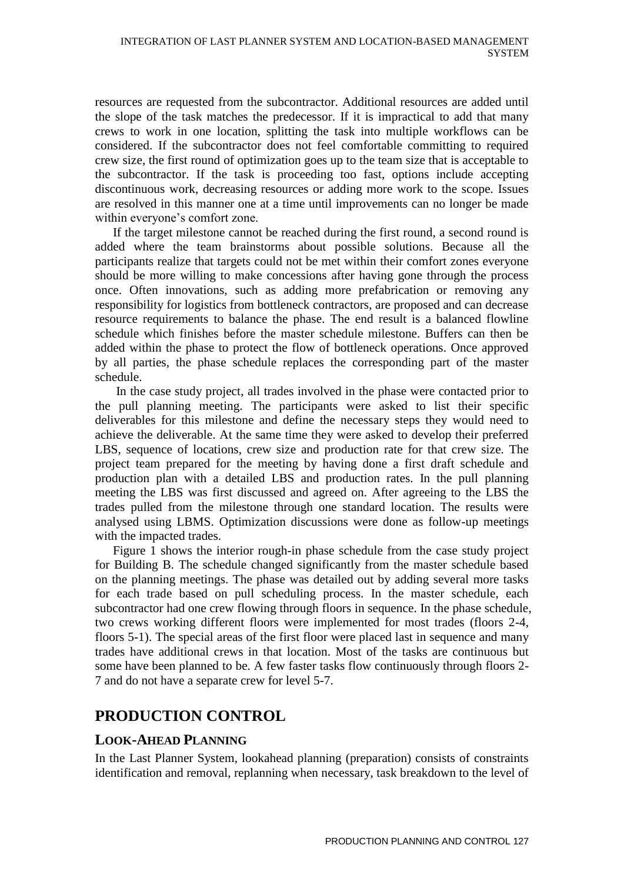resources are requested from the subcontractor. Additional resources are added until the slope of the task matches the predecessor. If it is impractical to add that many crews to work in one location, splitting the task into multiple workflows can be considered. If the subcontractor does not feel comfortable committing to required crew size, the first round of optimization goes up to the team size that is acceptable to the subcontractor. If the task is proceeding too fast, options include accepting discontinuous work, decreasing resources or adding more work to the scope. Issues are resolved in this manner one at a time until improvements can no longer be made within everyone's comfort zone.

If the target milestone cannot be reached during the first round, a second round is added where the team brainstorms about possible solutions. Because all the participants realize that targets could not be met within their comfort zones everyone should be more willing to make concessions after having gone through the process once. Often innovations, such as adding more prefabrication or removing any responsibility for logistics from bottleneck contractors, are proposed and can decrease resource requirements to balance the phase. The end result is a balanced flowline schedule which finishes before the master schedule milestone. Buffers can then be added within the phase to protect the flow of bottleneck operations. Once approved by all parties, the phase schedule replaces the corresponding part of the master schedule.

In the case study project, all trades involved in the phase were contacted prior to the pull planning meeting. The participants were asked to list their specific deliverables for this milestone and define the necessary steps they would need to achieve the deliverable. At the same time they were asked to develop their preferred LBS, sequence of locations, crew size and production rate for that crew size. The project team prepared for the meeting by having done a first draft schedule and production plan with a detailed LBS and production rates. In the pull planning meeting the LBS was first discussed and agreed on. After agreeing to the LBS the trades pulled from the milestone through one standard location. The results were analysed using LBMS. Optimization discussions were done as follow-up meetings with the impacted trades.

Figure 1 shows the interior rough-in phase schedule from the case study project for Building B. The schedule changed significantly from the master schedule based on the planning meetings. The phase was detailed out by adding several more tasks for each trade based on pull scheduling process. In the master schedule, each subcontractor had one crew flowing through floors in sequence. In the phase schedule, two crews working different floors were implemented for most trades (floors 2-4, floors 5-1). The special areas of the first floor were placed last in sequence and many trades have additional crews in that location. Most of the tasks are continuous but some have been planned to be. A few faster tasks flow continuously through floors 2- 7 and do not have a separate crew for level 5-7.

# **PRODUCTION CONTROL**

## **LOOK-AHEAD PLANNING**

In the Last Planner System, lookahead planning (preparation) consists of constraints identification and removal, replanning when necessary, task breakdown to the level of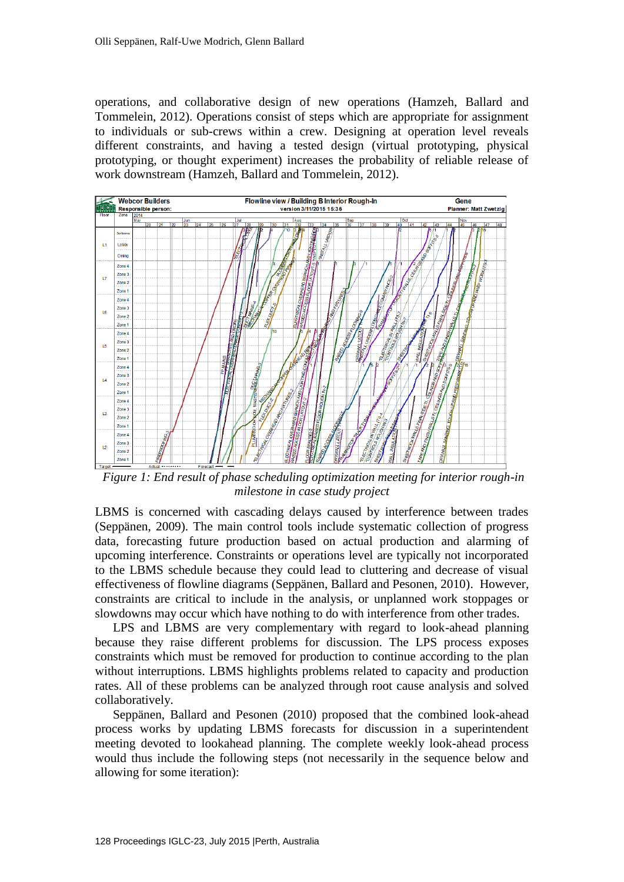operations, and collaborative design of new operations (Hamzeh, Ballard and Tommelein, 2012). Operations consist of steps which are appropriate for assignment to individuals or sub-crews within a crew. Designing at operation level reveals different constraints, and having a tested design (virtual prototyping, physical prototyping, or thought experiment) increases the probability of reliable release of work downstream (Hamzeh, Ballard and Tommelein, 2012).



*Figure 1: End result of phase scheduling optimization meeting for interior rough-in milestone in case study project*

LBMS is concerned with cascading delays caused by interference between trades (Seppänen, 2009). The main control tools include systematic collection of progress data, forecasting future production based on actual production and alarming of upcoming interference. Constraints or operations level are typically not incorporated to the LBMS schedule because they could lead to cluttering and decrease of visual effectiveness of flowline diagrams (Seppänen, Ballard and Pesonen, 2010). However, constraints are critical to include in the analysis, or unplanned work stoppages or slowdowns may occur which have nothing to do with interference from other trades.

LPS and LBMS are very complementary with regard to look-ahead planning because they raise different problems for discussion. The LPS process exposes constraints which must be removed for production to continue according to the plan without interruptions. LBMS highlights problems related to capacity and production rates. All of these problems can be analyzed through root cause analysis and solved collaboratively.

Seppänen, Ballard and Pesonen (2010) proposed that the combined look-ahead process works by updating LBMS forecasts for discussion in a superintendent meeting devoted to lookahead planning. The complete weekly look-ahead process would thus include the following steps (not necessarily in the sequence below and allowing for some iteration):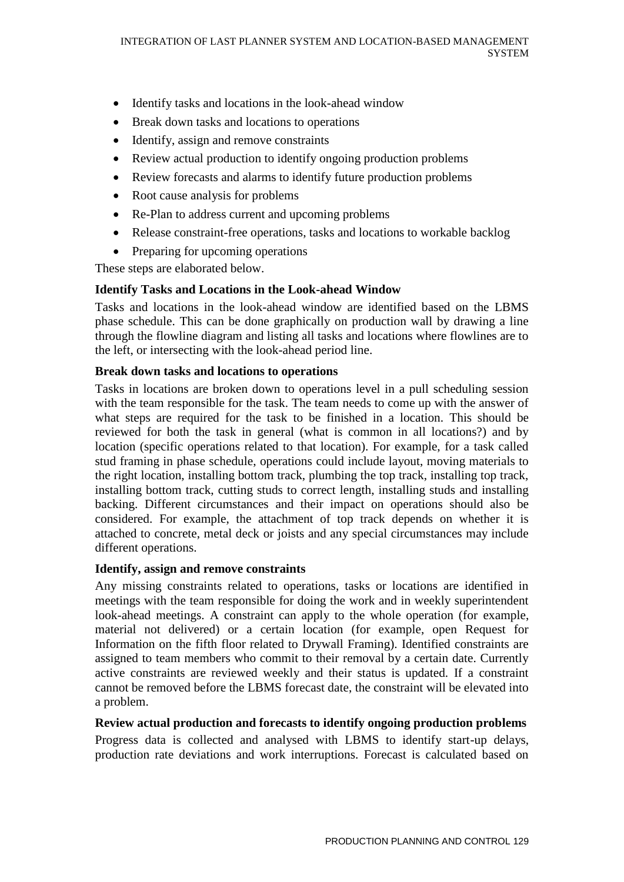- Identify tasks and locations in the look-ahead window
- Break down tasks and locations to operations
- Identify, assign and remove constraints
- Review actual production to identify ongoing production problems
- Review forecasts and alarms to identify future production problems
- Root cause analysis for problems
- Re-Plan to address current and upcoming problems
- Release constraint-free operations, tasks and locations to workable backlog
- Preparing for upcoming operations

These steps are elaborated below.

## **Identify Tasks and Locations in the Look-ahead Window**

Tasks and locations in the look-ahead window are identified based on the LBMS phase schedule. This can be done graphically on production wall by drawing a line through the flowline diagram and listing all tasks and locations where flowlines are to the left, or intersecting with the look-ahead period line.

## **Break down tasks and locations to operations**

Tasks in locations are broken down to operations level in a pull scheduling session with the team responsible for the task. The team needs to come up with the answer of what steps are required for the task to be finished in a location. This should be reviewed for both the task in general (what is common in all locations?) and by location (specific operations related to that location). For example, for a task called stud framing in phase schedule, operations could include layout, moving materials to the right location, installing bottom track, plumbing the top track, installing top track, installing bottom track, cutting studs to correct length, installing studs and installing backing. Different circumstances and their impact on operations should also be considered. For example, the attachment of top track depends on whether it is attached to concrete, metal deck or joists and any special circumstances may include different operations.

## **Identify, assign and remove constraints**

Any missing constraints related to operations, tasks or locations are identified in meetings with the team responsible for doing the work and in weekly superintendent look-ahead meetings. A constraint can apply to the whole operation (for example, material not delivered) or a certain location (for example, open Request for Information on the fifth floor related to Drywall Framing). Identified constraints are assigned to team members who commit to their removal by a certain date. Currently active constraints are reviewed weekly and their status is updated. If a constraint cannot be removed before the LBMS forecast date, the constraint will be elevated into a problem.

## **Review actual production and forecasts to identify ongoing production problems**

Progress data is collected and analysed with LBMS to identify start-up delays, production rate deviations and work interruptions. Forecast is calculated based on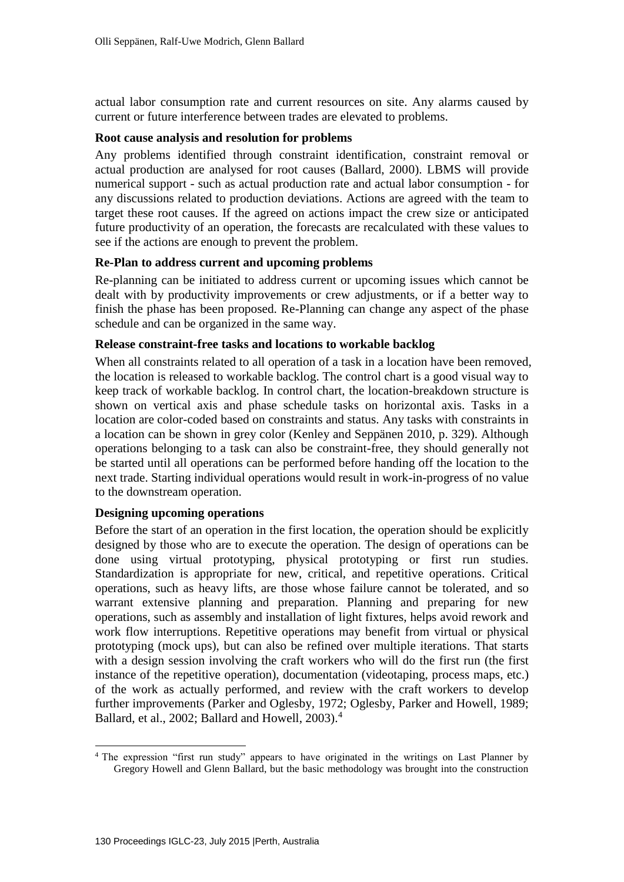actual labor consumption rate and current resources on site. Any alarms caused by current or future interference between trades are elevated to problems.

#### **Root cause analysis and resolution for problems**

Any problems identified through constraint identification, constraint removal or actual production are analysed for root causes (Ballard, 2000). LBMS will provide numerical support - such as actual production rate and actual labor consumption - for any discussions related to production deviations. Actions are agreed with the team to target these root causes. If the agreed on actions impact the crew size or anticipated future productivity of an operation, the forecasts are recalculated with these values to see if the actions are enough to prevent the problem.

#### **Re-Plan to address current and upcoming problems**

Re-planning can be initiated to address current or upcoming issues which cannot be dealt with by productivity improvements or crew adjustments, or if a better way to finish the phase has been proposed. Re-Planning can change any aspect of the phase schedule and can be organized in the same way.

#### **Release constraint-free tasks and locations to workable backlog**

When all constraints related to all operation of a task in a location have been removed, the location is released to workable backlog. The control chart is a good visual way to keep track of workable backlog. In control chart, the location-breakdown structure is shown on vertical axis and phase schedule tasks on horizontal axis. Tasks in a location are color-coded based on constraints and status. Any tasks with constraints in a location can be shown in grey color (Kenley and Seppänen 2010, p. 329). Although operations belonging to a task can also be constraint-free, they should generally not be started until all operations can be performed before handing off the location to the next trade. Starting individual operations would result in work-in-progress of no value to the downstream operation.

#### **Designing upcoming operations**

Before the start of an operation in the first location, the operation should be explicitly designed by those who are to execute the operation. The design of operations can be done using virtual prototyping, physical prototyping or first run studies. Standardization is appropriate for new, critical, and repetitive operations. Critical operations, such as heavy lifts, are those whose failure cannot be tolerated, and so warrant extensive planning and preparation. Planning and preparing for new operations, such as assembly and installation of light fixtures, helps avoid rework and work flow interruptions. Repetitive operations may benefit from virtual or physical prototyping (mock ups), but can also be refined over multiple iterations. That starts with a design session involving the craft workers who will do the first run (the first instance of the repetitive operation), documentation (videotaping, process maps, etc.) of the work as actually performed, and review with the craft workers to develop further improvements (Parker and Oglesby, 1972; Oglesby, Parker and Howell, 1989; Ballard, et al., 2002; Ballard and Howell,  $2003$ .<sup>4</sup>

 $\overline{a}$ <sup>4</sup> The expression "first run study" appears to have originated in the writings on Last Planner by Gregory Howell and Glenn Ballard, but the basic methodology was brought into the construction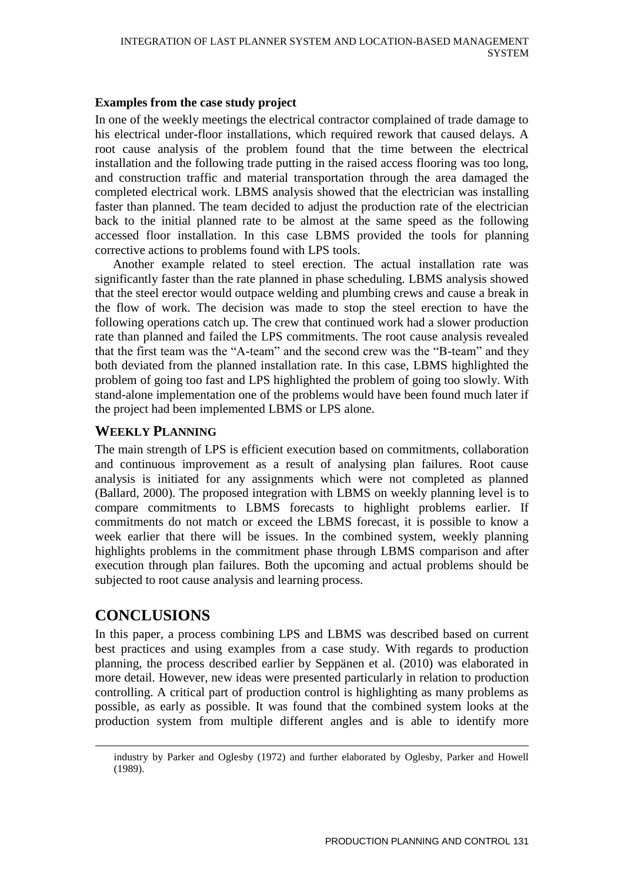#### **Examples from the case study project**

In one of the weekly meetings the electrical contractor complained of trade damage to his electrical under-floor installations, which required rework that caused delays. A root cause analysis of the problem found that the time between the electrical installation and the following trade putting in the raised access flooring was too long, and construction traffic and material transportation through the area damaged the completed electrical work. LBMS analysis showed that the electrician was installing faster than planned. The team decided to adjust the production rate of the electrician back to the initial planned rate to be almost at the same speed as the following accessed floor installation. In this case LBMS provided the tools for planning corrective actions to problems found with LPS tools.

Another example related to steel erection. The actual installation rate was significantly faster than the rate planned in phase scheduling. LBMS analysis showed that the steel erector would outpace welding and plumbing crews and cause a break in the flow of work. The decision was made to stop the steel erection to have the following operations catch up. The crew that continued work had a slower production rate than planned and failed the LPS commitments. The root cause analysis revealed that the first team was the "A-team" and the second crew was the "B-team" and they both deviated from the planned installation rate. In this case, LBMS highlighted the problem of going too fast and LPS highlighted the problem of going too slowly. With stand-alone implementation one of the problems would have been found much later if the project had been implemented LBMS or LPS alone.

## **WEEKLY PLANNING**

The main strength of LPS is efficient execution based on commitments, collaboration and continuous improvement as a result of analysing plan failures. Root cause analysis is initiated for any assignments which were not completed as planned (Ballard, 2000). The proposed integration with LBMS on weekly planning level is to compare commitments to LBMS forecasts to highlight problems earlier. If commitments do not match or exceed the LBMS forecast, it is possible to know a week earlier that there will be issues. In the combined system, weekly planning highlights problems in the commitment phase through LBMS comparison and after execution through plan failures. Both the upcoming and actual problems should be subjected to root cause analysis and learning process.

# **CONCLUSIONS**

 $\overline{a}$ 

In this paper, a process combining LPS and LBMS was described based on current best practices and using examples from a case study. With regards to production planning, the process described earlier by Seppänen et al. (2010) was elaborated in more detail. However, new ideas were presented particularly in relation to production controlling. A critical part of production control is highlighting as many problems as possible, as early as possible. It was found that the combined system looks at the production system from multiple different angles and is able to identify more

industry by Parker and Oglesby (1972) and further elaborated by Oglesby, Parker and Howell (1989).